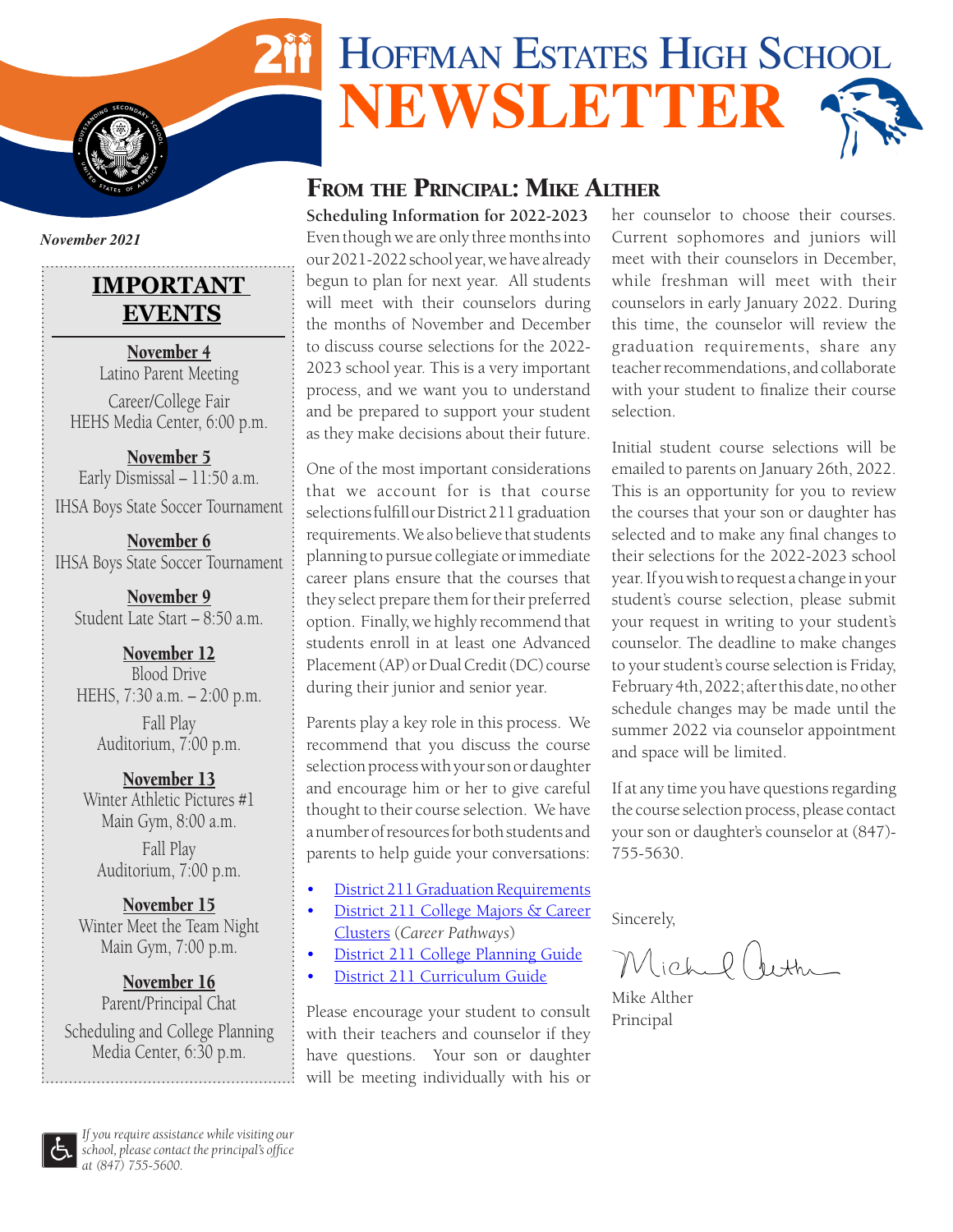# HOFFMAN ESTATES HIGH SCHOOL **NEWSLETTER**

## FROM THE PRINCIPAL: MIKE ALTHER

**Scheduling Information for 2022-2023**

Even though we are only three months into our 2021-2022 school year, we have already begun to plan for next year. All students will meet with their counselors during the months of November and December to discuss course selections for the 2022- 2023 school year. This is a very important process, and we want you to understand and be prepared to support your student as they make decisions about their future.

One of the most important considerations that we account for is that course selections fulfill our District 211 graduation requirements. We also believe that students planning to pursue collegiate or immediate career plans ensure that the courses that they select prepare them for their preferred option. Finally, we highly recommend that students enroll in at least one Advanced Placement (AP) or Dual Credit (DC) course during their junior and senior year.

Parents play a key role in this process. We recommend that you discuss the course selection process with your son or daughter and encourage him or her to give careful thought to their course selection. We have a number of resources for both students and parents to help guide your conversations:

- **[District 211 Graduation Requirements](https://adc.d211.org/cms/lib/IL49000007/Centricity/shared/academics/student%20services/d211-graduation-requirements.pdf)**
- [District 211 College Majors & Career](https://d211careercluster.org) [Clusters](https://d211careercluster.org) (*Career Pathways*)
- [District 211 College Planning Guide](https://adc.d211.org/cms/lib/IL49000007/Centricity/Domain/48/24282%20FTIC_bro_Spring_2018%20UCPG-REDUCED.pdf)
- [District 211 Curriculum Guide](https://adc.d211.org/cms/lib/IL49000007/Centricity/shared/academics/curriculum-guide.pdf)

Please encourage your student to consult with their teachers and counselor if they have questions. Your son or daughter will be meeting individually with his or her counselor to choose their courses. Current sophomores and juniors will meet with their counselors in December, while freshman will meet with their counselors in early January 2022. During this time, the counselor will review the graduation requirements, share any teacher recommendations, and collaborate with your student to finalize their course selection.

Initial student course selections will be emailed to parents on January 26th, 2022. This is an opportunity for you to review the courses that your son or daughter has selected and to make any final changes to their selections for the 2022-2023 school year. If you wish to request a change in your student's course selection, please submit your request in writing to your student's counselor. The deadline to make changes to your student's course selection is Friday, February 4th, 2022; after this date, no other schedule changes may be made until the summer 2022 via counselor appointment and space will be limited.

If at any time you have questions regarding the course selection process, please contact your son or daughter's counselor at (847)- 755-5630.

Sincerely,

Michel (Jethe

Mike Alther Principal

*November 2021*

**I**  $\frac{1}{2}$ 

**S** 

**S TATES** OF AMERICAL

## **IMPORTANT EVENTS**

November 4 Latino Parent Meeting

Career/College Fair HEHS Media Center, 6:00 p.m.

November 5 Early Dismissal – 11:50 a.m. IHSA Boys State Soccer Tournament

November 6 IHSA Boys State Soccer Tournament

November 9 Student Late Start – 8:50 a.m.

November 12 Blood Drive HEHS, 7:30 a.m. – 2:00 p.m. Fall Play Auditorium, 7:00 p.m.

November 13 Winter Athletic Pictures #1 Main Gym, 8:00 a.m.

Fall Play Auditorium, 7:00 p.m.

November 15 Winter Meet the Team Night Main Gym, 7:00 p.m.

November 16 Parent/Principal Chat Scheduling and College Planning Media Center, 6:30 p.m.

*If you require assistance while visiting our school, please contact the principal's office at (847) 755-5600.*

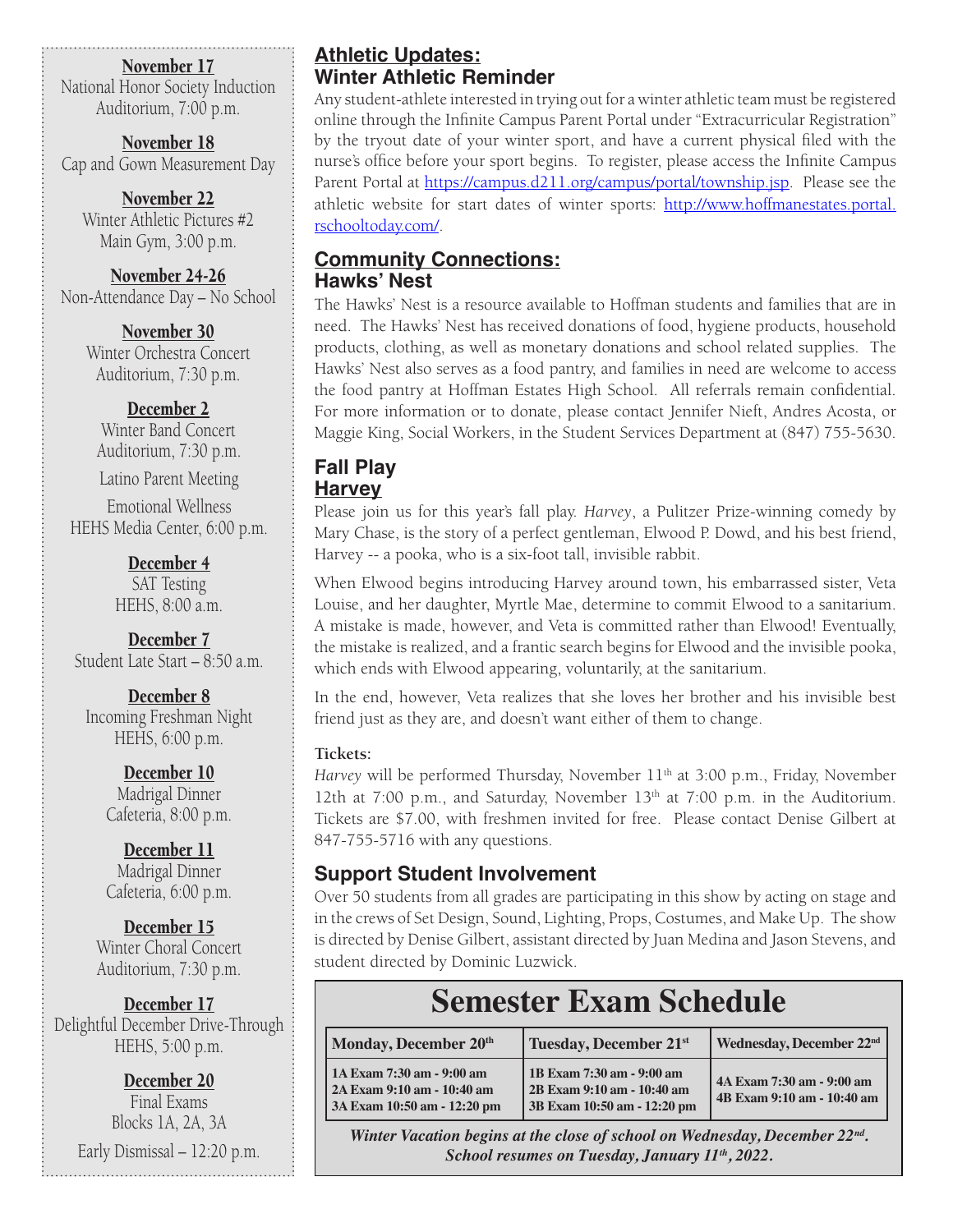November 17

National Honor Society Induction Auditorium, 7:00 p.m.

November 18 Cap and Gown Measurement Day

November 22 Winter Athletic Pictures #2 Main Gym, 3:00 p.m.

November 24-26 Non-Attendance Day – No School

> November 30 Winter Orchestra Concert Auditorium, 7:30 p.m.

December 2 Winter Band Concert Auditorium, 7:30 p.m.

Latino Parent Meeting

Emotional Wellness HEHS Media Center, 6:00 p.m.

> December 4 SAT Testing HEHS, 8:00 a.m.

December 7 Student Late Start – 8:50 a.m.

December 8 Incoming Freshman Night HEHS, 6:00 p.m.

> December 10 Madrigal Dinner Cafeteria, 8:00 p.m.

> December 11 Madrigal Dinner Cafeteria, 6:00 p.m.

December 15 Winter Choral Concert Auditorium, 7:30 p.m.

December 17 Delightful December Drive-Through HEHS, 5:00 p.m.

December 20 Final Exams Blocks 1A, 2A, 3A Early Dismissal – 12:20 p.m.

#### **Athletic Updates: Winter Athletic Reminder**

Any student-athlete interested in trying out for a winter athletic team must be registered online through the Infinite Campus Parent Portal under "Extracurricular Registration" by the tryout date of your winter sport, and have a current physical filed with the nurse's office before your sport begins. To register, please access the Infinite Campus Parent Portal at <https://campus.d211.org/campus/portal/township.jsp>. Please see the athletic website for start dates of winter sports: [http://www.hoffmanestates.portal.](http://www.hoffmanestates.portal.rschooltoday.com/) [rschooltoday.com/](http://www.hoffmanestates.portal.rschooltoday.com/).

#### **Community Connections: Hawks' Nest**

The Hawks' Nest is a resource available to Hoffman students and families that are in need. The Hawks' Nest has received donations of food, hygiene products, household products, clothing, as well as monetary donations and school related supplies. The Hawks' Nest also serves as a food pantry, and families in need are welcome to access the food pantry at Hoffman Estates High School. All referrals remain confidential. For more information or to donate, please contact Jennifer Nieft, Andres Acosta, or Maggie King, Social Workers, in the Student Services Department at (847) 755-5630.

# **Fall Play**

#### **Harvey**

Please join us for this year's fall play. *Harvey*, a Pulitzer Prize-winning comedy by Mary Chase, is the story of a perfect gentleman, Elwood P. Dowd, and his best friend, Harvey -- a pooka, who is a six-foot tall, invisible rabbit.

When Elwood begins introducing Harvey around town, his embarrassed sister, Veta Louise, and her daughter, Myrtle Mae, determine to commit Elwood to a sanitarium. A mistake is made, however, and Veta is committed rather than Elwood! Eventually, the mistake is realized, and a frantic search begins for Elwood and the invisible pooka, which ends with Elwood appearing, voluntarily, at the sanitarium.

In the end, however, Veta realizes that she loves her brother and his invisible best friend just as they are, and doesn't want either of them to change.

#### **Tickets:**

*Harvey* will be performed Thursday, November 11<sup>th</sup> at 3:00 p.m., Friday, November 12th at 7:00 p.m., and Saturday, November 13<sup>th</sup> at 7:00 p.m. in the Auditorium. Tickets are \$7.00, with freshmen invited for free. Please contact Denise Gilbert at 847-755-5716 with any questions.

#### **Support Student Involvement**

Over 50 students from all grades are participating in this show by acting on stage and in the crews of Set Design, Sound, Lighting, Props, Costumes, and Make Up. The show is directed by Denise Gilbert, assistant directed by Juan Medina and Jason Stevens, and student directed by Dominic Luzwick.

# **Semester Exam Schedule**

| Monday, December 20th                                                                    | Tuesday, December 21st                                                                 | Wednesday, December 22 <sup>nd</sup>                    |
|------------------------------------------------------------------------------------------|----------------------------------------------------------------------------------------|---------------------------------------------------------|
| 1A Exam 7:30 am - 9:00 am<br>  2A Exam 9:10 am - 10:40 am<br>3A Exam 10:50 am - 12:20 pm | 1B Exam 7:30 am - 9:00 am<br>2B Exam 9:10 am - 10:40 am<br>3B Exam 10:50 am - 12:20 pm | 4A Exam 7:30 am - 9:00 am<br>4B Exam 9:10 am - 10:40 am |

*Winter Vacation begins at the close of school on Wednesday, December 22nd. School resumes on Tuesday, January 11<sup>th</sup>, 2022.*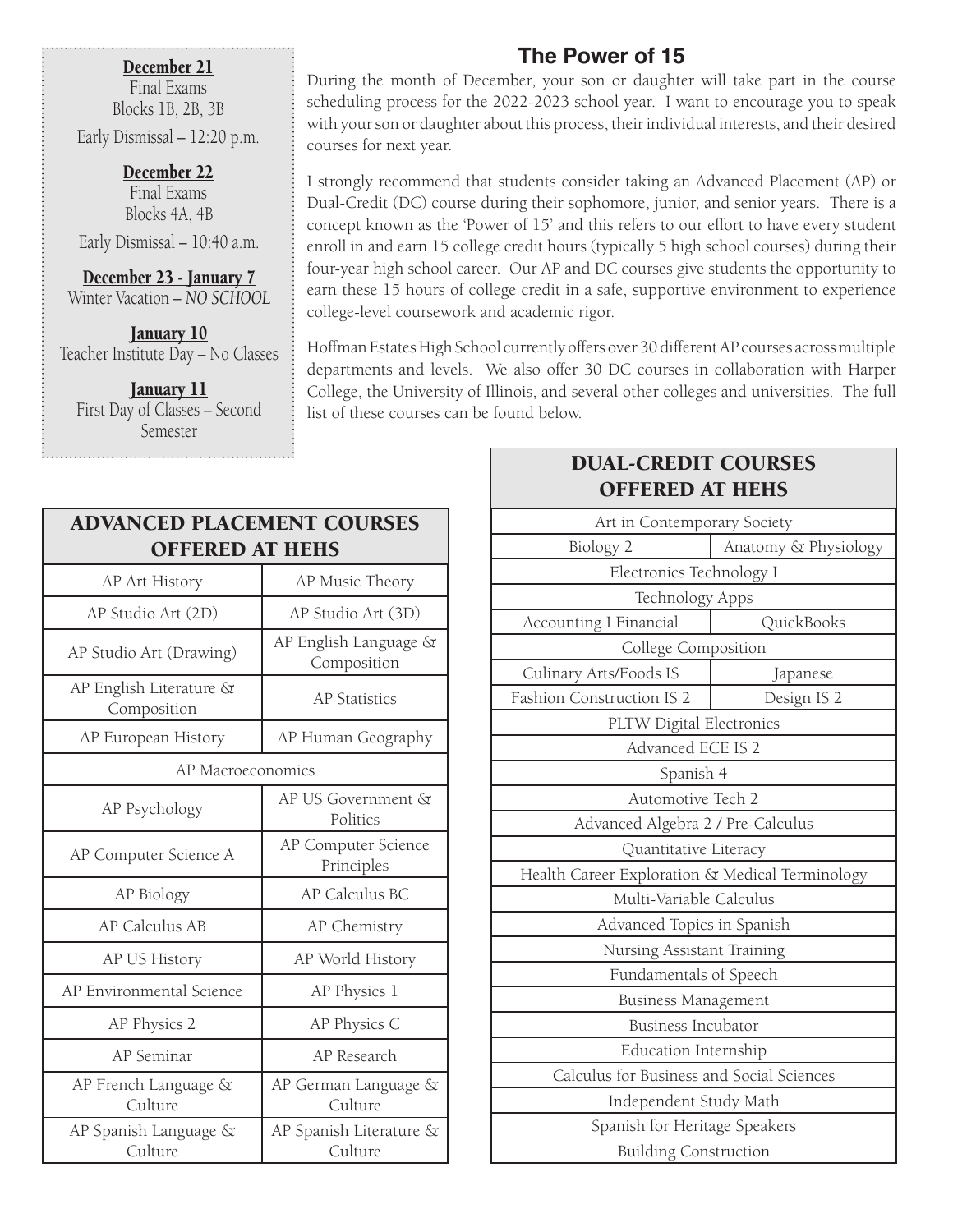#### December 21

Final Exams Blocks 1B, 2B, 3B

Early Dismissal – 12:20 p.m.

December 22 Final Exams Blocks 4A, 4B

Early Dismissal – 10:40 a.m.

December 23 - January 7 Winter Vacation – *NO SCHOOL*

January 10 Teacher Institute Day – No Classes

**January 11** First Day of Classes – Second Semester

## **The Power of 15**

During the month of December, your son or daughter will take part in the course scheduling process for the 2022-2023 school year. I want to encourage you to speak with your son or daughter about this process, their individual interests, and their desired courses for next year.

I strongly recommend that students consider taking an Advanced Placement (AP) or Dual-Credit (DC) course during their sophomore, junior, and senior years. There is a concept known as the 'Power of 15' and this refers to our effort to have every student enroll in and earn 15 college credit hours (typically 5 high school courses) during their four-year high school career. Our AP and DC courses give students the opportunity to earn these 15 hours of college credit in a safe, supportive environment to experience college-level coursework and academic rigor.

Hoffman Estates High School currently offers over 30 different AP courses across multiple departments and levels. We also offer 30 DC courses in collaboration with Harper College, the University of Illinois, and several other colleges and universities. The full list of these courses can be found below.

| <b>ADVANCED PLACEMENT COURSES</b><br><b>OFFERED AT HEHS</b> |                                      |  |  |
|-------------------------------------------------------------|--------------------------------------|--|--|
| AP Art History                                              | AP Music Theory                      |  |  |
| AP Studio Art (2D)                                          | AP Studio Art (3D)                   |  |  |
| AP Studio Art (Drawing)                                     | AP English Language &<br>Composition |  |  |
| AP English Literature &<br>Composition                      | <b>AP Statistics</b>                 |  |  |
| AP European History                                         | AP Human Geography                   |  |  |
| AP Macroeconomics                                           |                                      |  |  |
| AP Psychology                                               | AP US Government &<br>Politics       |  |  |
| AP Computer Science A                                       | AP Computer Science<br>Principles    |  |  |
| AP Biology                                                  | AP Calculus BC                       |  |  |
| <b>AP Calculus AB</b>                                       | AP Chemistry                         |  |  |
| AP US History                                               | AP World History                     |  |  |
| AP Environmental Science                                    | AP Physics 1                         |  |  |
| AP Physics 2                                                | AP Physics C                         |  |  |
| AP Seminar                                                  | AP Research                          |  |  |
| AP French Language &<br>Culture                             | AP German Language &<br>Culture      |  |  |
| AP Spanish Language &<br>Culture                            | AP Spanish Literature &<br>Culture   |  |  |

#### DUAL-CREDIT COURSES OFFERED AT HEHS

| Art in Contemporary Society                     |             |  |  |
|-------------------------------------------------|-------------|--|--|
| Biology 2<br>Anatomy & Physiology               |             |  |  |
| Electronics Technology I                        |             |  |  |
| Technology Apps                                 |             |  |  |
| QuickBooks<br><b>Accounting I Financial</b>     |             |  |  |
| College Composition                             |             |  |  |
| Culinary Arts/Foods IS                          | Japanese    |  |  |
| Fashion Construction IS 2                       | Design IS 2 |  |  |
| PLTW Digital Electronics                        |             |  |  |
| Advanced ECE IS 2                               |             |  |  |
| Spanish 4                                       |             |  |  |
| Automotive Tech 2                               |             |  |  |
| Advanced Algebra 2 / Pre-Calculus               |             |  |  |
| Quantitative Literacy                           |             |  |  |
| Health Career Exploration & Medical Terminology |             |  |  |
| Multi-Variable Calculus                         |             |  |  |
| Advanced Topics in Spanish                      |             |  |  |
| Nursing Assistant Training                      |             |  |  |
| Fundamentals of Speech                          |             |  |  |
| <b>Business Management</b>                      |             |  |  |
| <b>Business Incubator</b>                       |             |  |  |
| <b>Education Internship</b>                     |             |  |  |
| Calculus for Business and Social Sciences       |             |  |  |
| Independent Study Math                          |             |  |  |
| Spanish for Heritage Speakers                   |             |  |  |
| <b>Building Construction</b>                    |             |  |  |